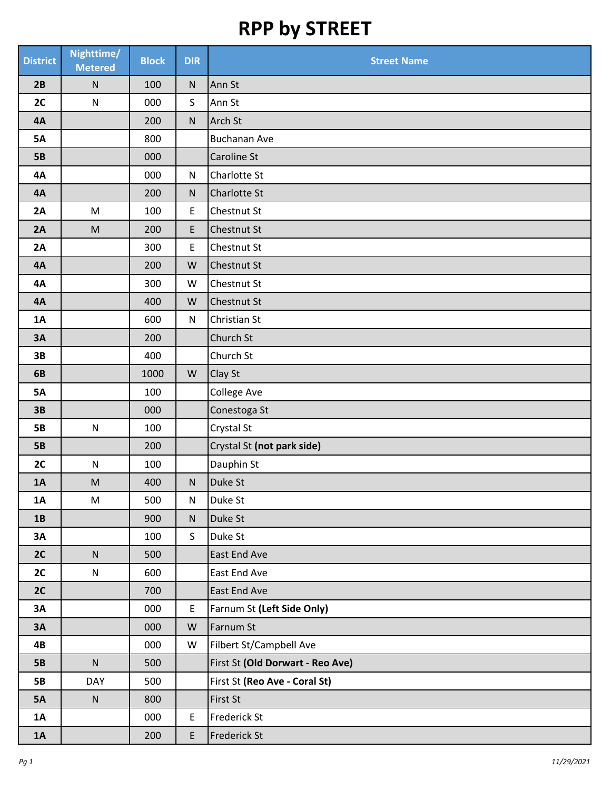| <b>District</b> | Nighttime/<br><b>Metered</b>                                                                               | <b>Block</b> | <b>DIR</b>  | <b>Street Name</b>               |
|-----------------|------------------------------------------------------------------------------------------------------------|--------------|-------------|----------------------------------|
| 2B              | ${\sf N}$                                                                                                  | 100          | ${\sf N}$   | Ann St                           |
| 2C              | ${\sf N}$                                                                                                  | 000          | $\mathsf S$ | Ann St                           |
| <b>4A</b>       |                                                                                                            | 200          | ${\sf N}$   | Arch St                          |
| <b>5A</b>       |                                                                                                            | 800          |             | <b>Buchanan Ave</b>              |
| <b>5B</b>       |                                                                                                            | 000          |             | <b>Caroline St</b>               |
| <b>4A</b>       |                                                                                                            | 000          | ${\sf N}$   | Charlotte St                     |
| <b>4A</b>       |                                                                                                            | 200          | ${\sf N}$   | Charlotte St                     |
| 2A              | ${\sf M}$                                                                                                  | 100          | E           | Chestnut St                      |
| 2A              | $\mathsf{M}% _{T}=\mathsf{M}_{T}\!\left( a,b\right) ,\ \mathsf{M}_{T}=\mathsf{M}_{T}\!\left( a,b\right) ,$ | 200          | E           | Chestnut St                      |
| 2A              |                                                                                                            | 300          | E           | <b>Chestnut St</b>               |
| <b>4A</b>       |                                                                                                            | 200          | ${\sf W}$   | <b>Chestnut St</b>               |
| <b>4A</b>       |                                                                                                            | 300          | ${\sf W}$   | <b>Chestnut St</b>               |
| <b>4A</b>       |                                                                                                            | 400          | ${\sf W}$   | <b>Chestnut St</b>               |
| 1A              |                                                                                                            | 600          | ${\sf N}$   | Christian St                     |
| 3A              |                                                                                                            | 200          |             | Church St                        |
| 3B              |                                                                                                            | 400          |             | Church St                        |
| 6B              |                                                                                                            | 1000         | ${\sf W}$   | Clay St                          |
| <b>5A</b>       |                                                                                                            | 100          |             | College Ave                      |
| 3B              |                                                                                                            | 000          |             | Conestoga St                     |
| <b>5B</b>       | ${\sf N}$                                                                                                  | 100          |             | Crystal St                       |
| <b>5B</b>       |                                                                                                            | 200          |             | Crystal St (not park side)       |
| 2C              | ${\sf N}$                                                                                                  | 100          |             | Dauphin St                       |
| 1A              | ${\sf M}$                                                                                                  | 400          | ${\sf N}$   | Duke St                          |
| 1A              | M                                                                                                          | 500          | ${\sf N}$   | Duke St                          |
| 1B              |                                                                                                            | 900          | ${\sf N}$   | Duke St                          |
| 3A              |                                                                                                            | 100          | S           | Duke St                          |
| 2C              | ${\sf N}$                                                                                                  | 500          |             | East End Ave                     |
| 2C              | N                                                                                                          | 600          |             | East End Ave                     |
| 2C              |                                                                                                            | 700          |             | East End Ave                     |
| 3A              |                                                                                                            | 000          | E           | Farnum St (Left Side Only)       |
| 3A              |                                                                                                            | 000          | W           | Farnum St                        |
| 4B              |                                                                                                            | 000          | W           | Filbert St/Campbell Ave          |
| <b>5B</b>       | $\mathsf{N}$                                                                                               | 500          |             | First St (Old Dorwart - Reo Ave) |
| <b>5B</b>       | DAY                                                                                                        | 500          |             | First St (Reo Ave - Coral St)    |
| <b>5A</b>       | ${\sf N}$                                                                                                  | 800          |             | First St                         |
| <b>1A</b>       |                                                                                                            | 000          | E           | Frederick St                     |
| 1A              |                                                                                                            | 200          | E           | <b>Frederick St</b>              |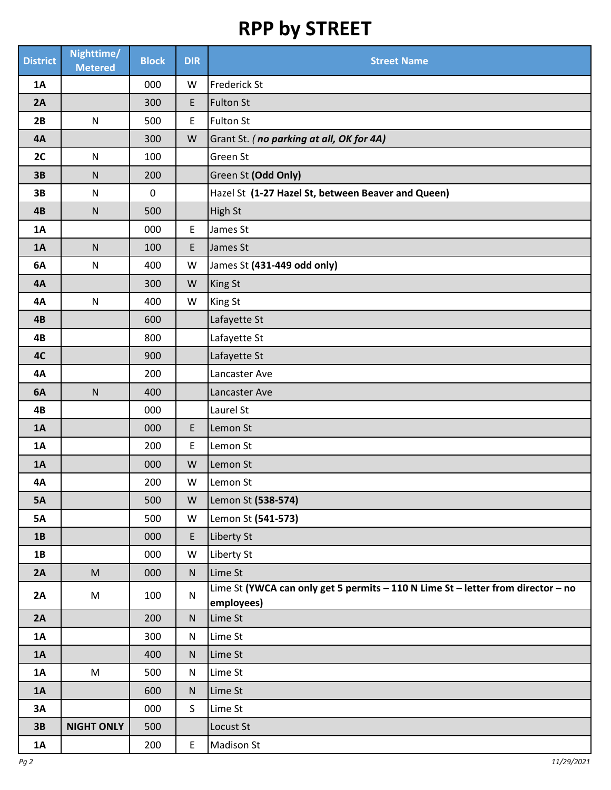| <b>District</b> | Nighttime/<br><b>Metered</b> | <b>Block</b> | <b>DIR</b>                                 | <b>Street Name</b>                                                                             |
|-----------------|------------------------------|--------------|--------------------------------------------|------------------------------------------------------------------------------------------------|
| 1A              |                              | 000          | W                                          | <b>Frederick St</b>                                                                            |
| 2A              |                              | 300          | E                                          | <b>Fulton St</b>                                                                               |
| 2B              | ${\sf N}$                    | 500          | E                                          | <b>Fulton St</b>                                                                               |
| <b>4A</b>       |                              | 300          | W                                          | Grant St. (no parking at all, OK for 4A)                                                       |
| 2C              | ${\sf N}$                    | 100          |                                            | Green St                                                                                       |
| 3B              | ${\sf N}$                    | 200          |                                            | Green St (Odd Only)                                                                            |
| 3B              | ${\sf N}$                    | $\pmb{0}$    |                                            | Hazel St (1-27 Hazel St, between Beaver and Queen)                                             |
| 4B              | ${\sf N}$                    | 500          |                                            | High St                                                                                        |
| 1A              |                              | 000          | $\mathsf E$                                | James St                                                                                       |
| 1A              | ${\sf N}$                    | 100          | E.                                         | James St                                                                                       |
| 6A              | ${\sf N}$                    | 400          | ${\sf W}$                                  | James St (431-449 odd only)                                                                    |
| <b>4A</b>       |                              | 300          | ${\sf W}$                                  | <b>King St</b>                                                                                 |
| <b>4A</b>       | ${\sf N}$                    | 400          | ${\sf W}$                                  | <b>King St</b>                                                                                 |
| 4B              |                              | 600          |                                            | Lafayette St                                                                                   |
| 4B              |                              | 800          |                                            | Lafayette St                                                                                   |
| 4C              |                              | 900          |                                            | Lafayette St                                                                                   |
| <b>4A</b>       |                              | 200          |                                            | Lancaster Ave                                                                                  |
| 6A              | ${\sf N}$                    | 400          |                                            | Lancaster Ave                                                                                  |
| 4B              |                              | 000          |                                            | Laurel St                                                                                      |
| 1A              |                              | 000          | E                                          | Lemon St                                                                                       |
| 1A              |                              | 200          | E                                          | Lemon St                                                                                       |
| 1A              |                              | 000          | W                                          | Lemon St                                                                                       |
| <b>4A</b>       |                              | 200          | W                                          | Lemon St                                                                                       |
| <b>5A</b>       |                              | 500          | ${\sf W}$                                  | Lemon St (538-574)                                                                             |
| <b>5A</b>       |                              | 500          | W                                          | Lemon St (541-573)                                                                             |
| 1B              |                              | 000          | E                                          | Liberty St                                                                                     |
| 1B              |                              | 000          | W                                          | Liberty St                                                                                     |
| 2A              | M                            | 000          | ${\sf N}$                                  | Lime St                                                                                        |
| 2A              | M                            | 100          | ${\sf N}$                                  | Lime St (YWCA can only get 5 permits - 110 N Lime St - letter from director - no<br>employees) |
| 2A              |                              | 200          | ${\sf N}$                                  | Lime St                                                                                        |
| 1A              |                              | 300          | N                                          | Lime St                                                                                        |
| 1A              |                              | 400          | ${\sf N}$                                  | Lime St                                                                                        |
| <b>1A</b>       | M                            | 500          | N                                          | Lime St                                                                                        |
| 1A              |                              | 600          | ${\sf N}$                                  | Lime St                                                                                        |
| 3A              |                              | 000          | S                                          | Lime St                                                                                        |
| 3B              | <b>NIGHT ONLY</b>            | 500          |                                            | Locust St                                                                                      |
| <b>1A</b>       |                              | 200          | $\mathsf{E}% _{0}\left( \mathsf{E}\right)$ | <b>Madison St</b>                                                                              |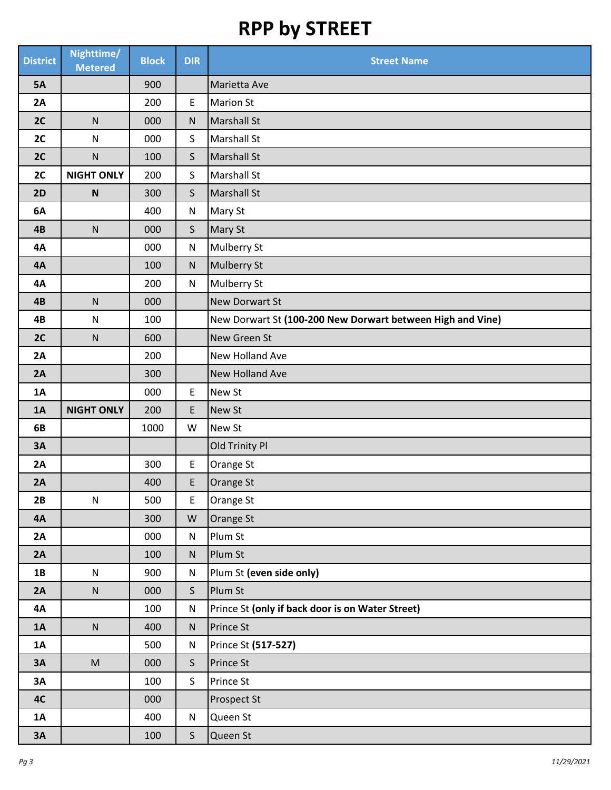| <b>District</b> | Nighttime/<br><b>Metered</b>                                                                               | <b>Block</b> | <b>DIR</b>   | <b>Street Name</b>                                         |
|-----------------|------------------------------------------------------------------------------------------------------------|--------------|--------------|------------------------------------------------------------|
| <b>5A</b>       |                                                                                                            | 900          |              | Marietta Ave                                               |
| 2A              |                                                                                                            | 200          | E            | <b>Marion St</b>                                           |
| 2C              | ${\sf N}$                                                                                                  | 000          | ${\sf N}$    | <b>Marshall St</b>                                         |
| 2C              | ${\sf N}$                                                                                                  | 000          | S            | <b>Marshall St</b>                                         |
| 2C              | ${\sf N}$                                                                                                  | 100          | $\mathsf{S}$ | <b>Marshall St</b>                                         |
| 2C              | <b>NIGHT ONLY</b>                                                                                          | 200          | $\mathsf{S}$ | <b>Marshall St</b>                                         |
| 2D              | $\boldsymbol{\mathsf{N}}$                                                                                  | 300          | $\mathsf{S}$ | <b>Marshall St</b>                                         |
| 6A              |                                                                                                            | 400          | ${\sf N}$    | Mary St                                                    |
| 4B              | ${\sf N}$                                                                                                  | 000          | $\mathsf{S}$ | Mary St                                                    |
| <b>4A</b>       |                                                                                                            | 000          | ${\sf N}$    | Mulberry St                                                |
| <b>4A</b>       |                                                                                                            | 100          | ${\sf N}$    | <b>Mulberry St</b>                                         |
| <b>4A</b>       |                                                                                                            | 200          | ${\sf N}$    | <b>Mulberry St</b>                                         |
| 4B              | ${\sf N}$                                                                                                  | 000          |              | <b>New Dorwart St</b>                                      |
| 4B              | ${\sf N}$                                                                                                  | 100          |              | New Dorwart St (100-200 New Dorwart between High and Vine) |
| 2C              | ${\sf N}$                                                                                                  | 600          |              | New Green St                                               |
| 2A              |                                                                                                            | 200          |              | New Holland Ave                                            |
| 2A              |                                                                                                            | 300          |              | <b>New Holland Ave</b>                                     |
| 1A              |                                                                                                            | 000          | $\mathsf E$  | New St                                                     |
| 1A              | <b>NIGHT ONLY</b>                                                                                          | 200          | E            | New St                                                     |
| 6B              |                                                                                                            | 1000         | W            | New St                                                     |
| <b>3A</b>       |                                                                                                            |              |              | Old Trinity Pl                                             |
| 2A              |                                                                                                            | 300          | E            | Orange St                                                  |
| 2A              |                                                                                                            | 400          | E            | Orange St                                                  |
| 2B              | ${\sf N}$                                                                                                  | 500          | E            | Orange St                                                  |
| <b>4A</b>       |                                                                                                            | 300          | ${\sf W}$    | Orange St                                                  |
| 2A              |                                                                                                            | 000          | ${\sf N}$    | Plum St                                                    |
| 2A              |                                                                                                            | 100          | ${\sf N}$    | Plum St                                                    |
| 1B              | ${\sf N}$                                                                                                  | 900          | ${\sf N}$    | Plum St (even side only)                                   |
| 2A              | ${\sf N}$                                                                                                  | 000          | $\mathsf{S}$ | Plum St                                                    |
| <b>4A</b>       |                                                                                                            | 100          | ${\sf N}$    | Prince St (only if back door is on Water Street)           |
| <b>1A</b>       | ${\sf N}$                                                                                                  | 400          | ${\sf N}$    | Prince St                                                  |
| <b>1A</b>       |                                                                                                            | 500          | ${\sf N}$    | Prince St (517-527)                                        |
| 3A              | $\mathsf{M}% _{T}=\mathsf{M}_{T}\!\left( a,b\right) ,\ \mathsf{M}_{T}=\mathsf{M}_{T}\!\left( a,b\right) ,$ | 000          | $\mathsf{S}$ | Prince St                                                  |
| 3A              |                                                                                                            | 100          | $\mathsf{S}$ | Prince St                                                  |
| <b>4C</b>       |                                                                                                            | 000          |              | Prospect St                                                |
| <b>1A</b>       |                                                                                                            | 400          | ${\sf N}$    | Queen St                                                   |
| 3A              |                                                                                                            | 100          | $\mathsf{S}$ | Queen St                                                   |